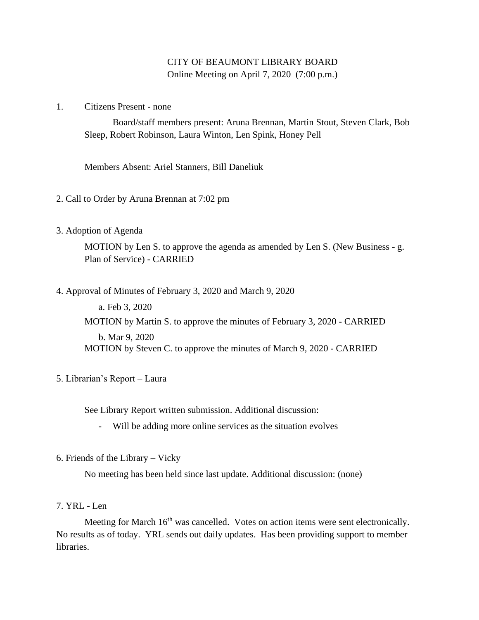## CITY OF BEAUMONT LIBRARY BOARD Online Meeting on April 7, 2020 (7:00 p.m.)

1. Citizens Present - none

Board/staff members present: Aruna Brennan, Martin Stout, Steven Clark, Bob Sleep, Robert Robinson, Laura Winton, Len Spink, Honey Pell

Members Absent: Ariel Stanners, Bill Daneliuk

- 2. Call to Order by Aruna Brennan at 7:02 pm
- 3. Adoption of Agenda

MOTION by Len S. to approve the agenda as amended by Len S. (New Business - g. Plan of Service) - CARRIED

4. Approval of Minutes of February 3, 2020 and March 9, 2020

a. Feb 3, 2020 MOTION by Martin S. to approve the minutes of February 3, 2020 - CARRIED b. Mar 9, 2020 MOTION by Steven C. to approve the minutes of March 9, 2020 - CARRIED

5. Librarian's Report – Laura

See Library Report written submission. Additional discussion:

- Will be adding more online services as the situation evolves
- 6. Friends of the Library Vicky

No meeting has been held since last update. Additional discussion: (none)

7. YRL - Len

Meeting for March 16<sup>th</sup> was cancelled. Votes on action items were sent electronically. No results as of today. YRL sends out daily updates. Has been providing support to member libraries.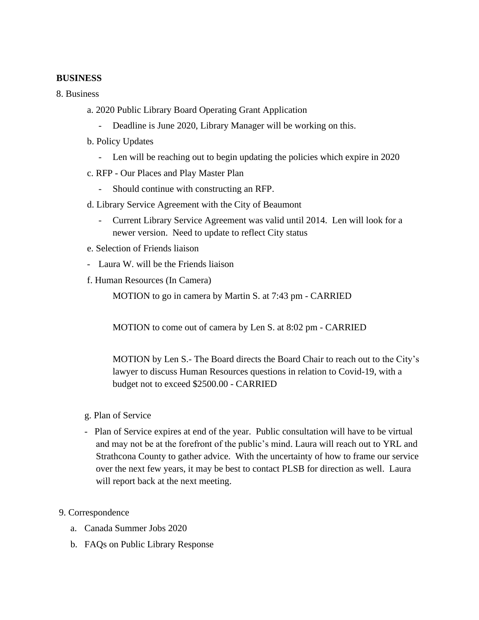## **BUSINESS**

8. Business

- a. 2020 Public Library Board Operating Grant Application
	- Deadline is June 2020, Library Manager will be working on this.
- b. Policy Updates
	- Len will be reaching out to begin updating the policies which expire in 2020
- c. RFP Our Places and Play Master Plan
	- Should continue with constructing an RFP.
- d. Library Service Agreement with the City of Beaumont
	- Current Library Service Agreement was valid until 2014. Len will look for a newer version. Need to update to reflect City status
- e. Selection of Friends liaison
- Laura W. will be the Friends liaison
- f. Human Resources (In Camera)

MOTION to go in camera by Martin S. at 7:43 pm - CARRIED

MOTION to come out of camera by Len S. at 8:02 pm - CARRIED

MOTION by Len S.- The Board directs the Board Chair to reach out to the City's lawyer to discuss Human Resources questions in relation to Covid-19, with a budget not to exceed \$2500.00 - CARRIED

- g. Plan of Service
- Plan of Service expires at end of the year. Public consultation will have to be virtual and may not be at the forefront of the public's mind. Laura will reach out to YRL and Strathcona County to gather advice. With the uncertainty of how to frame our service over the next few years, it may be best to contact PLSB for direction as well. Laura will report back at the next meeting.
- 9. Correspondence
	- a. Canada Summer Jobs 2020
	- b. FAQs on Public Library Response